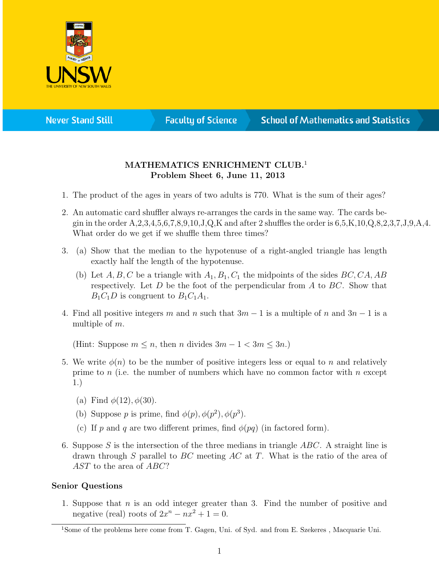

**Never Stand Still** 

**Faculty of Science** 

## **School of Mathematics and Statistics**

## MATHEMATICS ENRICHMENT CLUB.<sup>1</sup> Problem Sheet 6, June 11, 2013

- 1. The product of the ages in years of two adults is 770. What is the sum of their ages?
- 2. An automatic card shuffler always re-arranges the cards in the same way. The cards begin in the order  $A, 2, 3, 4, 5, 6, 7, 8, 9, 10, J, Q$ ,K and after 2 shuffles the order is  $6, 5, K, 10, Q, 8, 2, 3, 7, J, 9, A, 4$ . What order do we get if we shuffle them three times?
- 3. (a) Show that the median to the hypotenuse of a right-angled triangle has length exactly half the length of the hypotenuse.
	- (b) Let  $A, B, C$  be a triangle with  $A_1, B_1, C_1$  the midpoints of the sides  $BC, CA, AB$ respectively. Let  $D$  be the foot of the perpendicular from  $A$  to  $BC$ . Show that  $B_1C_1D$  is congruent to  $B_1C_1A_1$ .
- 4. Find all positive integers m and n such that  $3m 1$  is a multiple of n and  $3n 1$  is a multiple of m.

(Hint: Suppose  $m \leq n$ , then n divides  $3m - 1 < 3m \leq 3n$ .)

- 5. We write  $\phi(n)$  to be the number of positive integers less or equal to n and relatively prime to n (i.e. the number of numbers which have no common factor with n except 1.)
	- (a) Find  $\phi(12), \phi(30)$ .
	- (b) Suppose p is prime, find  $\phi(p), \phi(p^2), \phi(p^3)$ .
	- (c) If p and q are two different primes, find  $\phi(pq)$  (in factored form).
- 6. Suppose S is the intersection of the three medians in triangle  $ABC$ . A straight line is drawn through S parallel to  $BC$  meeting  $AC$  at T. What is the ratio of the area of AST to the area of ABC?

## Senior Questions

1. Suppose that  $n$  is an odd integer greater than 3. Find the number of positive and negative (real) roots of  $2x^n - nx^2 + 1 = 0$ .

<sup>&</sup>lt;sup>1</sup>Some of the problems here come from T. Gagen, Uni. of Syd. and from E. Szekeres, Macquarie Uni.